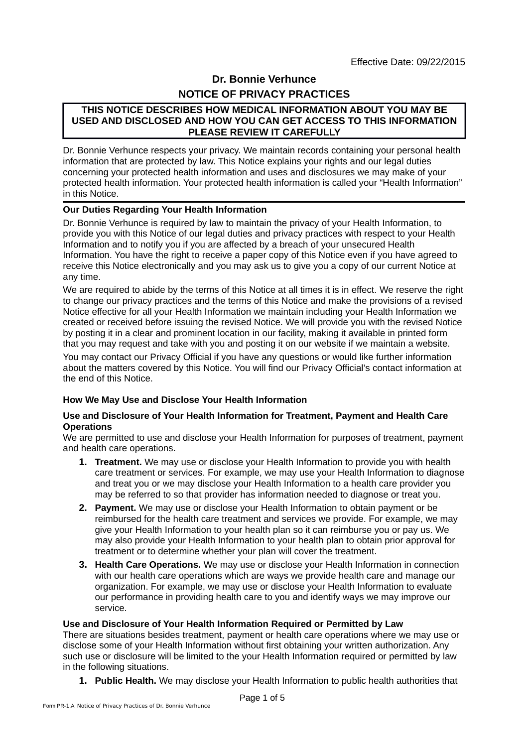# **Dr. Bonnie Verhunce NOTICE OF PRIVACY PRACTICES**

## **THIS NOTICE DESCRIBES HOW MEDICAL INFORMATION ABOUT YOU MAY BE USED AND DISCLOSED AND HOW YOU CAN GET ACCESS TO THIS INFORMATION PLEASE REVIEW IT CAREFULLY**

Dr. Bonnie Verhunce respects your privacy. We maintain records containing your personal health information that are protected by law. This Notice explains your rights and our legal duties concerning your protected health information and uses and disclosures we may make of your protected health information. Your protected health information is called your "Health Information" in this Notice.

## **Our Duties Regarding Your Health Information**

Dr. Bonnie Verhunce is required by law to maintain the privacy of your Health Information, to provide you with this Notice of our legal duties and privacy practices with respect to your Health Information and to notify you if you are affected by a breach of your unsecured Health Information. You have the right to receive a paper copy of this Notice even if you have agreed to receive this Notice electronically and you may ask us to give you a copy of our current Notice at any time.

We are required to abide by the terms of this Notice at all times it is in effect. We reserve the right to change our privacy practices and the terms of this Notice and make the provisions of a revised Notice effective for all your Health Information we maintain including your Health Information we created or received before issuing the revised Notice. We will provide you with the revised Notice by posting it in a clear and prominent location in our facility, making it available in printed form that you may request and take with you and posting it on our website if we maintain a website.

You may contact our Privacy Official if you have any questions or would like further information about the matters covered by this Notice. You will find our Privacy Official's contact information at the end of this Notice.

#### **How We May Use and Disclose Your Health Information**

#### **Use and Disclosure of Your Health Information for Treatment, Payment and Health Care Operations**

We are permitted to use and disclose your Health Information for purposes of treatment, payment and health care operations.

- **1. Treatment.** We may use or disclose your Health Information to provide you with health care treatment or services. For example, we may use your Health Information to diagnose and treat you or we may disclose your Health Information to a health care provider you may be referred to so that provider has information needed to diagnose or treat you.
- **2. Payment.** We may use or disclose your Health Information to obtain payment or be reimbursed for the health care treatment and services we provide. For example, we may give your Health Information to your health plan so it can reimburse you or pay us. We may also provide your Health Information to your health plan to obtain prior approval for treatment or to determine whether your plan will cover the treatment.
- **3. Health Care Operations.** We may use or disclose your Health Information in connection with our health care operations which are ways we provide health care and manage our organization. For example, we may use or disclose your Health Information to evaluate our performance in providing health care to you and identify ways we may improve our service.

#### **Use and Disclosure of Your Health Information Required or Permitted by Law**

There are situations besides treatment, payment or health care operations where we may use or disclose some of your Health Information without first obtaining your written authorization. Any such use or disclosure will be limited to the your Health Information required or permitted by law in the following situations.

**1. Public Health.** We may disclose your Health Information to public health authorities that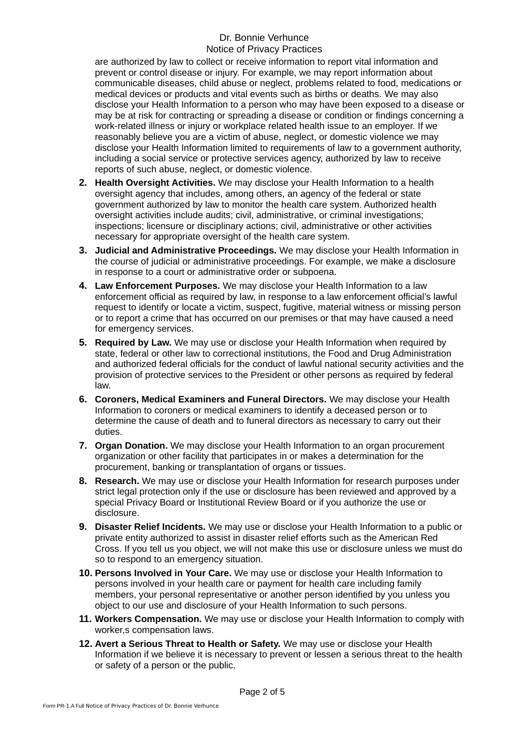are authorized by law to collect or receive information to report vital information and prevent or control disease or injury. For example, we may report information about communicable diseases, child abuse or neglect, problems related to food, medications or medical devices or products and vital events such as births or deaths. We may also disclose your Health Information to a person who may have been exposed to a disease or may be at risk for contracting or spreading a disease or condition or findings concerning a work-related illness or injury or workplace related health issue to an employer. If we reasonably believe you are a victim of abuse, neglect, or domestic violence we may disclose your Health Information limited to requirements of law to a government authority, including a social service or protective services agency, authorized by law to receive reports of such abuse, neglect, or domestic violence.

- **2. Health Oversight Activities.** We may disclose your Health Information to a health oversight agency that includes, among others, an agency of the federal or state government authorized by law to monitor the health care system. Authorized health oversight activities include audits; civil, administrative, or criminal investigations; inspections; licensure or disciplinary actions; civil, administrative or other activities necessary for appropriate oversight of the health care system.
- **3. Judicial and Administrative Proceedings.** We may disclose your Health Information in the course of judicial or administrative proceedings. For example, we make a disclosure in response to a court or administrative order or subpoena.
- **4. Law Enforcement Purposes.** We may disclose your Health Information to a law enforcement official as required by law, in response to a law enforcement official's lawful request to identify or locate a victim, suspect, fugitive, material witness or missing person or to report a crime that has occurred on our premises or that may have caused a need for emergency services.
- **5. Required by Law.** We may use or disclose your Health Information when required by state, federal or other law to correctional institutions, the Food and Drug Administration and authorized federal officials for the conduct of lawful national security activities and the provision of protective services to the President or other persons as required by federal law.
- **6. Coroners, Medical Examiners and Funeral Directors.** We may disclose your Health Information to coroners or medical examiners to identify a deceased person or to determine the cause of death and to funeral directors as necessary to carry out their duties.
- **7. Organ Donation.** We may disclose your Health Information to an organ procurement organization or other facility that participates in or makes a determination for the procurement, banking or transplantation of organs or tissues.
- **8. Research.** We may use or disclose your Health Information for research purposes under strict legal protection only if the use or disclosure has been reviewed and approved by a special Privacy Board or Institutional Review Board or if you authorize the use or disclosure.
- **9. Disaster Relief Incidents.** We may use or disclose your Health Information to a public or private entity authorized to assist in disaster relief efforts such as the American Red Cross. If you tell us you object, we will not make this use or disclosure unless we must do so to respond to an emergency situation.
- **10. Persons Involved in Your Care.** We may use or disclose your Health Information to persons involved in your health care or payment for health care including family members, your personal representative or another person identified by you unless you object to our use and disclosure of your Health Information to such persons.
- **11. Workers Compensation.** We may use or disclose your Health Information to comply with worker,s compensation laws.
- **12. Avert a Serious Threat to Health or Safety.** We may use or disclose your Health Information if we believe it is necessary to prevent or lessen a serious threat to the health or safety of a person or the public.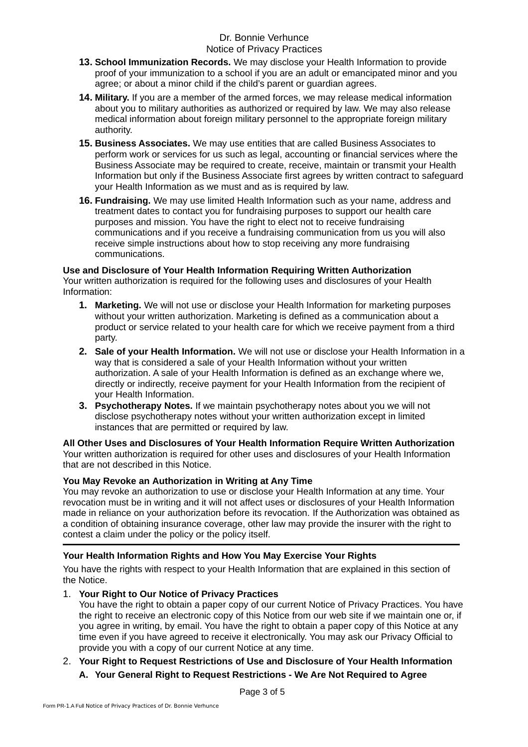- **13. School Immunization Records.** We may disclose your Health Information to provide proof of your immunization to a school if you are an adult or emancipated minor and you agree; or about a minor child if the child's parent or guardian agrees.
- **14. Military.** If you are a member of the armed forces, we may release medical information about you to military authorities as authorized or required by law. We may also release medical information about foreign military personnel to the appropriate foreign military authority.
- **15. Business Associates.** We may use entities that are called Business Associates to perform work or services for us such as legal, accounting or financial services where the Business Associate may be required to create, receive, maintain or transmit your Health Information but only if the Business Associate first agrees by written contract to safeguard your Health Information as we must and as is required by law.
- **16. Fundraising.** We may use limited Health Information such as your name, address and treatment dates to contact you for fundraising purposes to support our health care purposes and mission. You have the right to elect not to receive fundraising communications and if you receive a fundraising communication from us you will also receive simple instructions about how to stop receiving any more fundraising communications.

# **Use and Disclosure of Your Health Information Requiring Written Authorization**

Your written authorization is required for the following uses and disclosures of your Health Information:

- **1. Marketing.** We will not use or disclose your Health Information for marketing purposes without your written authorization. Marketing is defined as a communication about a product or service related to your health care for which we receive payment from a third party.
- **2. Sale of your Health Information.** We will not use or disclose your Health Information in a way that is considered a sale of your Health Information without your written authorization. A sale of your Health Information is defined as an exchange where we, directly or indirectly, receive payment for your Health Information from the recipient of your Health Information.
- **3. Psychotherapy Notes.** If we maintain psychotherapy notes about you we will not disclose psychotherapy notes without your written authorization except in limited instances that are permitted or required by law.

# **All Other Uses and Disclosures of Your Health Information Require Written Authorization**

Your written authorization is required for other uses and disclosures of your Health Information that are not described in this Notice.

# **You May Revoke an Authorization in Writing at Any Time**

You may revoke an authorization to use or disclose your Health Information at any time. Your revocation must be in writing and it will not affect uses or disclosures of your Health Information made in reliance on your authorization before its revocation. If the Authorization was obtained as a condition of obtaining insurance coverage, other law may provide the insurer with the right to contest a claim under the policy or the policy itself.

# **Your Health Information Rights and How You May Exercise Your Rights**

You have the rights with respect to your Health Information that are explained in this section of the Notice.

# 1. **Your Right to Our Notice of Privacy Practices**

You have the right to obtain a paper copy of our current Notice of Privacy Practices. You have the right to receive an electronic copy of this Notice from our web site if we maintain one or, if you agree in writing, by email. You have the right to obtain a paper copy of this Notice at any time even if you have agreed to receive it electronically. You may ask our Privacy Official to provide you with a copy of our current Notice at any time.

# 2. **Your Right to Request Restrictions of Use and Disclosure of Your Health Information**

# **A. Your General Right to Request Restrictions - We Are Not Required to Agree**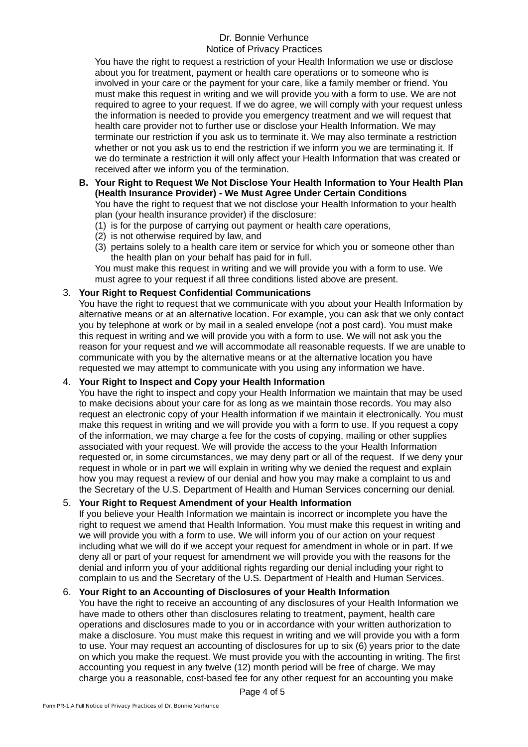You have the right to request a restriction of your Health Information we use or disclose about you for treatment, payment or health care operations or to someone who is involved in your care or the payment for your care, like a family member or friend. You must make this request in writing and we will provide you with a form to use. We are not required to agree to your request. If we do agree, we will comply with your request unless the information is needed to provide you emergency treatment and we will request that health care provider not to further use or disclose your Health Information. We may terminate our restriction if you ask us to terminate it. We may also terminate a restriction whether or not you ask us to end the restriction if we inform you we are terminating it. If we do terminate a restriction it will only affect your Health Information that was created or received after we inform you of the termination.

#### **B. Your Right to Request We Not Disclose Your Health Information to Your Health Plan (Health Insurance Provider) - We Must Agree Under Certain Conditions**

You have the right to request that we not disclose your Health Information to your health plan (your health insurance provider) if the disclosure:

- (1) is for the purpose of carrying out payment or health care operations,
- (2) is not otherwise required by law, and
- (3) pertains solely to a health care item or service for which you or someone other than the health plan on your behalf has paid for in full.

You must make this request in writing and we will provide you with a form to use. We must agree to your request if all three conditions listed above are present.

## 3. **Your Right to Request Confidential Communications**

You have the right to request that we communicate with you about your Health Information by alternative means or at an alternative location. For example, you can ask that we only contact you by telephone at work or by mail in a sealed envelope (not a post card). You must make this request in writing and we will provide you with a form to use. We will not ask you the reason for your request and we will accommodate all reasonable requests. If we are unable to communicate with you by the alternative means or at the alternative location you have requested we may attempt to communicate with you using any information we have.

## 4. **Your Right to Inspect and Copy your Health Information**

You have the right to inspect and copy your Health Information we maintain that may be used to make decisions about your care for as long as we maintain those records. You may also request an electronic copy of your Health information if we maintain it electronically. You must make this request in writing and we will provide you with a form to use. If you request a copy of the information, we may charge a fee for the costs of copying, mailing or other supplies associated with your request. We will provide the access to the your Health Information requested or, in some circumstances, we may deny part or all of the request. If we deny your request in whole or in part we will explain in writing why we denied the request and explain how you may request a review of our denial and how you may make a complaint to us and the Secretary of the U.S. Department of Health and Human Services concerning our denial.

## 5. **Your Right to Request Amendment of your Health Information**

If you believe your Health Information we maintain is incorrect or incomplete you have the right to request we amend that Health Information. You must make this request in writing and we will provide you with a form to use. We will inform you of our action on your request including what we will do if we accept your request for amendment in whole or in part. If we deny all or part of your request for amendment we will provide you with the reasons for the denial and inform you of your additional rights regarding our denial including your right to complain to us and the Secretary of the U.S. Department of Health and Human Services.

## 6. **Your Right to an Accounting of Disclosures of your Health Information**

You have the right to receive an accounting of any disclosures of your Health Information we have made to others other than disclosures relating to treatment, payment, health care operations and disclosures made to you or in accordance with your written authorization to make a disclosure. You must make this request in writing and we will provide you with a form to use. Your may request an accounting of disclosures for up to six (6) years prior to the date on which you make the request. We must provide you with the accounting in writing. The first accounting you request in any twelve (12) month period will be free of charge. We mav charge you a reasonable, cost-based fee for any other request for an accounting you make